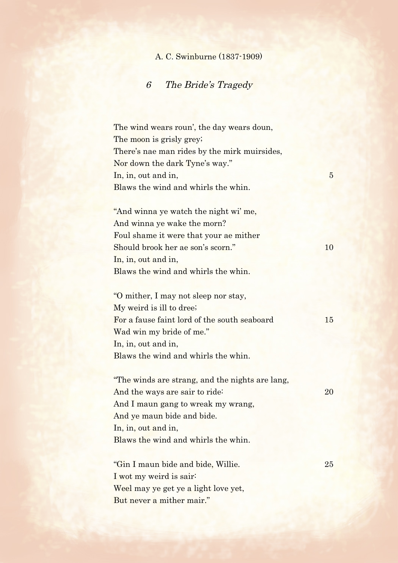## A. C. Swinburne (1837-1909)

## 6 The Bride's Tragedy

The wind wears roun', the day wears doun, The moon is grisly grey; There's nae man rides by the mirk muirsides, Nor down the dark Tyne's way."  $\ln$ , in, out and in,  $\frac{5}{5}$ Blaws the wind and whirls the whin.

"And winna ye watch the night wi' me, And winna ye wake the morn? Foul shame it were that your ae mither Should brook her ae son's scorn." 10 In, in, out and in, Blaws the wind and whirls the whin.

"O mither, I may not sleep nor stay, My weird is ill to dree; For a fause faint lord of the south seaboard 15 Wad win my bride of me." In, in, out and in, Blaws the wind and whirls the whin.

"The winds are strang, and the nights are lang, And the ways are sair to ride: 20 And I maun gang to wreak my wrang, And ye maun bide and bide. In, in, out and in, Blaws the wind and whirls the whin.

"Gin I maun bide and bide, Willie. 25 I wot my weird is sair: Weel may ye get ye a light love yet, But never a mither mair."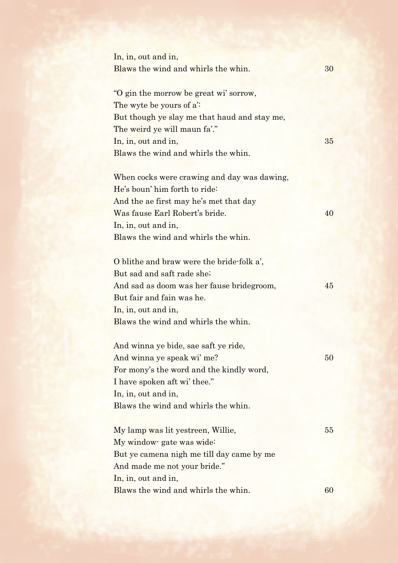In, in, out and in, Blaws the wind and whirls the whin. 30 "O gin the morrow be great wi' sorrow, The wyte be yours of a': But though ye slay me that haud and stay me, The weird ye will maun fa'." In, in, out and in, 35 Blaws the wind and whirls the whin.

When cocks were crawing and day was dawing, He's boun' him forth to ride: And the ae first may he's met that day Was fause Earl Robert's bride. 40 In, in, out and in, Blaws the wind and whirls the whin.

O blithe and braw were the bride-folk a', But sad and saft rade she; And sad as doom was her fause bridegroom, 45 But fair and fain was he. In, in, out and in, Blaws the wind and whirls the whin.

And winna ye bide, sae saft ye ride, And winna ye speak wi' me? 50 For mony's the word and the kindly word, I have spoken aft wi' thee." In, in, out and in, Blaws the wind and whirls the whin.

My lamp was lit yestreen, Willie, 55 My window- gate was wide: But ye camena nigh me till day came by me And made me not your bride." In, in, out and in,  $Blaws$  the wind and whirls the whin.  $60$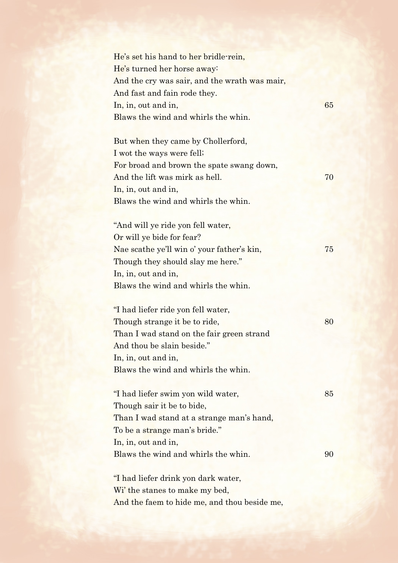| He's set his hand to her bridle-rein,         |    |
|-----------------------------------------------|----|
| He's turned her horse away:                   |    |
| And the cry was sair, and the wrath was mair, |    |
| And fast and fain rode they.                  |    |
| In, in, out and in,                           | 65 |
| Blaws the wind and whirls the whin.           |    |
|                                               |    |
| But when they came by Chollerford,            |    |
| I wot the ways were fell;                     |    |
| For broad and brown the spate swang down,     |    |
| And the lift was mirk as hell.                | 70 |
| In, in, out and in,                           |    |
| Blaws the wind and whirls the whin.           |    |
|                                               |    |
| "And will ye ride yon fell water,             |    |
| Or will ye bide for fear?                     |    |
| Nae scathe ye'll win o' your father's kin,    | 75 |
| Though they should slay me here."             |    |
| In, in, out and in,                           |    |
| Blaws the wind and whirls the whin.           |    |
| "I had liefer ride yon fell water,            |    |
| Though strange it be to ride,                 | 80 |
| Than I wad stand on the fair green strand     |    |
| And thou be slain beside."                    |    |
| In, in, out and in,                           |    |
| Blaws the wind and whirls the whin.           |    |
|                                               |    |
| "I had liefer swim yon wild water,            | 85 |
| Though sair it be to bide,                    |    |
| Than I wad stand at a strange man's hand,     |    |
| To be a strange man's bride."                 |    |
| In, in, out and in,                           |    |
| Blaws the wind and whirls the whin.           | 90 |
|                                               |    |
| "I had liefer drink yon dark water,           |    |
| Wi' the stanes to make my bed,                |    |
| And the faem to hide me, and thou beside me,  |    |